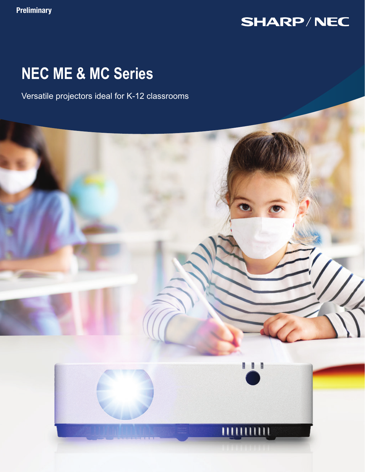# **SHARP/NEC**

# **NEC ME & MC Series**

Versatile projectors ideal for K-12 classrooms

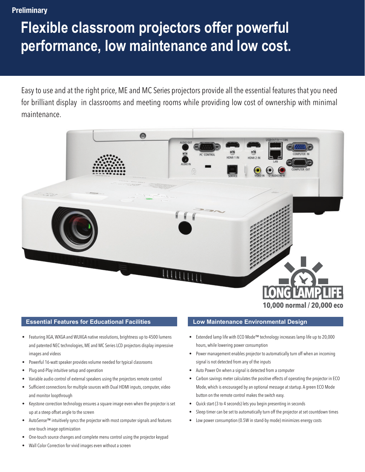**Preliminary** 

# **Flexible classroom projectors offer powerful performance, low maintenance and low cost.**

Easy to use and at the right price, ME and MC Series projectors provide all the essential features that you need for brilliant display in classrooms and meeting rooms while providing low cost of ownership with minimal maintenance.



#### **10,000 normal / 20,000 eco**

#### **Essential Features for Educational Facilities**

- Featuring XGA, WXGA and WUXGA native resolutions, brightness up to 4500 lumens and patented NEC technologies, ME and MC Series LCD projectors display impressive images and videos
- Powerful 16-watt speaker provides volume needed for typical classrooms
- Plug-and-Play intuitive setup and operation
- Variable audio control of external speakers using the projectors remote control
- Sufficient connections for multiple sources with Dual HDMI inputs, computer, video and monitor loopthrough
- Keystone correction technology ensures a square image even when the projector is set up at a steep offset angle to the screen
- AutoSense™ intuitively syncs the projector with most computer signals and features one-touch image optimization
- One-touch source changes and complete menu control using the projector keypad
- Wall Color Correction for vivid images even without a screen

#### **Low Maintenance Environmental Design**

- Extended lamp life with ECO Mode™ technology increases lamp life up to 20,000 hours, while lowering power consumption
- Power management enables projector to automatically turn off when an incoming signal is not detected from any of the inputs
- Auto Power On when a signal is detected from a computer
- Carbon savings meter calculates the positive effects of operating the projector in ECO Mode, which is encouraged by an optional message at startup. A green ECO Mode button on the remote control makes the switch easy.
- Quick start (3 to 4 seconds) lets you begin presenting in seconds
- Sleep timer can be set to automatically turn off the projector at set countdown times
- Low power consumption (0.5W in stand-by mode) minimizes energy costs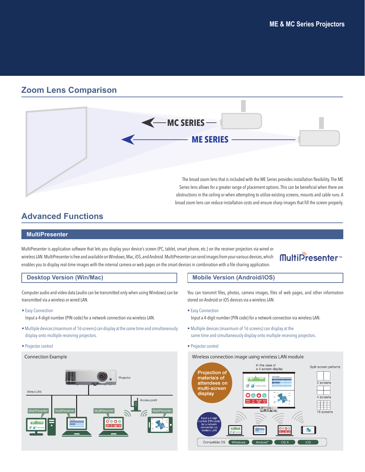### **Zoom Lens Comparison**



## **Advanced Functions**

#### **MultiPresenter**

MultiPresenter is application software that lets you display your device's screen (PC, tablet, smart phone, etc.) on the receiver projectors via wired or wireless LAN. MultiPresenter is free and available on Windows, Mac, iOS, and Android. MultiPresenter can send images from your various devices, which enables you to display real-time images with the internal camera or web pages on the smart devices in combination with a file sharing application.

## **MultiPresenter**<sup>™</sup>

#### **Desktop Version (Win/Mac)**

Computer audio and video data (audio can be transmitted only when using Windows) can be transmitted via a wireless or wired LAN.

• Easy Connection

Input a 4-digit number (PIN code) for a network connection via wireless LAN.

- Multiple devices (maximum of 16 screens) can display at the same time and simultaneously display onto multiple receiving projectors.
- Projector control



#### **Mobile Version (Android/iOS)**

You can transmit files, photos, camera images, files of web pages, and other information stored on Android or iOS devices via a wireless LAN.

• Easy Connection

Input a 4-digit number (PIN code) for a network connection via wireless LAN.

- Multiple devices (maximum of 16 screens) can display at the same time and simultaneously display onto multiple receiving projectors.
- Projector control

#### Wireless connection image using wireless LAN module